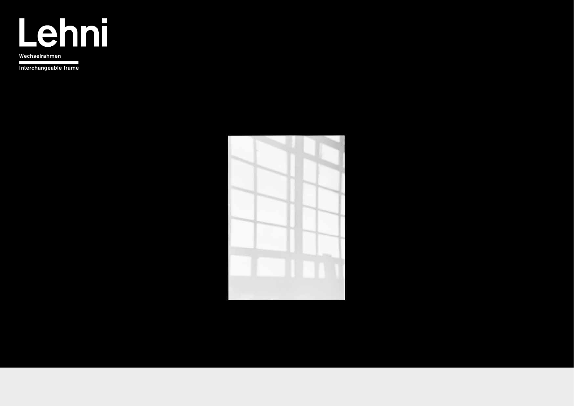## Lehni

Wechselrahmen

Interchangeable frame

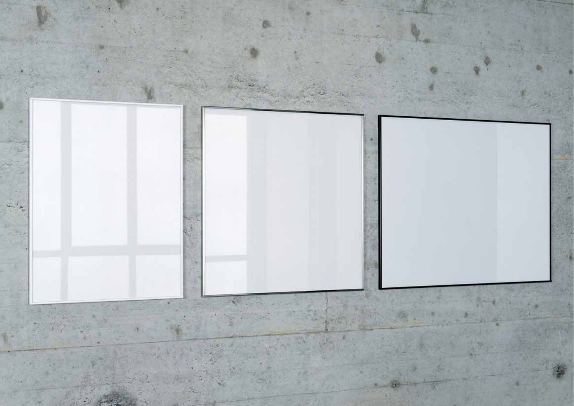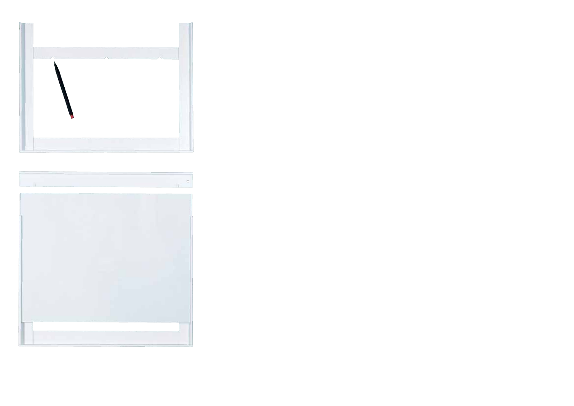